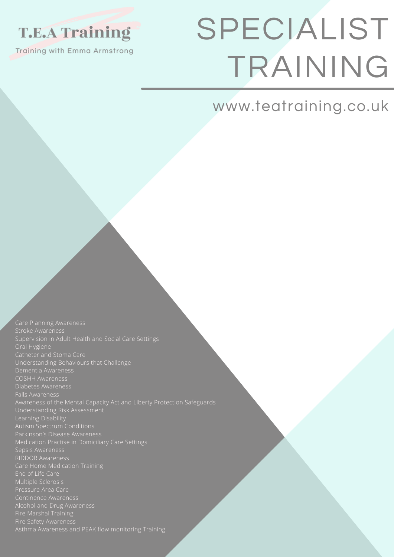# **T.E.A Training**

Training with Emma Armstrong

# SPECIALIST TRAINING

# www.teatraining.co.uk

Supervision in Adult Health and Social Care Settings Oral Hygiene Catheter and Stoma Care Understanding Behaviours that Challenge Diabetes Awareness Awareness of the Mental Capacity Act and Liberty Protection Safeguards Understanding Risk Assessment Learning Disability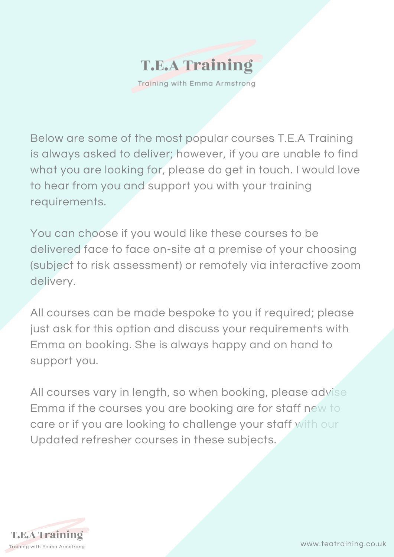

Training with Emma Armstrong

Below are some of the most popular courses T.E.A Training is always asked to deliver; however, if you are unable to find what you are looking for, please do get in touch. I would love to hear from you and support you with your training requirements.

You can choose if you would like these courses to be delivered face to face on-site at a premise of your choosing (subject to risk assessment) or remotely via interactive zoom delivery.

All courses can be made bespoke to you if required; please just ask for this option and discuss your requirements with Emma on booking. She is always happy and on hand to support you.

All courses vary in length, so when booking, please advise Emma if the courses you are booking are for staff new to care or if you are looking to challenge your staff with our Updated refresher courses in these subjects.

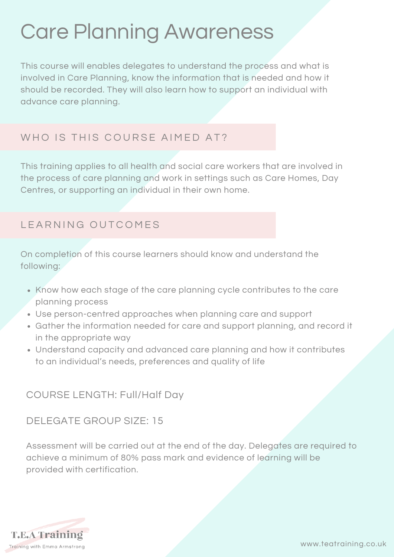# Care Planning Awareness

This course will enables delegates to understand the process and what is involved in Care Planning, know the information that is needed and how it should be recorded. They will also learn how to support an individual with advance care planning.

# WHO IS THIS COURSE AIMED AT?

This training applies to all health and social care workers that are involved in the process of care planning and work in settings such as Care Homes, Day Centres, or supporting an individual in their own home.

# LEARNING OUTCOMES

On completion of this course learners should know and understand the following:

- Know how each stage of the care planning cycle contributes to the care planning process
- Use person-centred approaches when planning care and support
- Gather the information needed for care and support planning, and record it in the appropriate way
- Understand capacity and advanced care planning and how it contributes to an individual's needs, preferences and quality of life

#### COURSE LENGTH: Full/Half Day

DELEGATE GROUP SIZE: 15

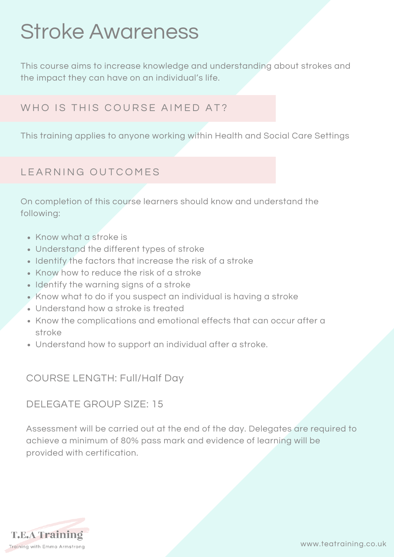# Stroke Awareness

This course aims to increase knowledge and understanding about strokes and the impact they can have on an individual's life.

#### WHO IS THIS COURSE AIMED AT?

This training applies to anyone working within Health and Social Care Settings

#### LEARNING OUTCOMES

On completion of this course learners should know and understand the following:

- Know what a stroke is
- Understand the different types of stroke
- Identify the factors that increase the risk of a stroke
- Know how to reduce the risk of a stroke
- Identify the warning signs of a stroke
- Know what to do if you suspect an individual is having a stroke
- Understand how a stroke is treated
- Know the complications and emotional effects that can occur after a stroke
- Understand how to support an individual after a stroke.

COURSE LENGTH: Full/Half Day

#### DELEGATE GROUP SIZE: 15

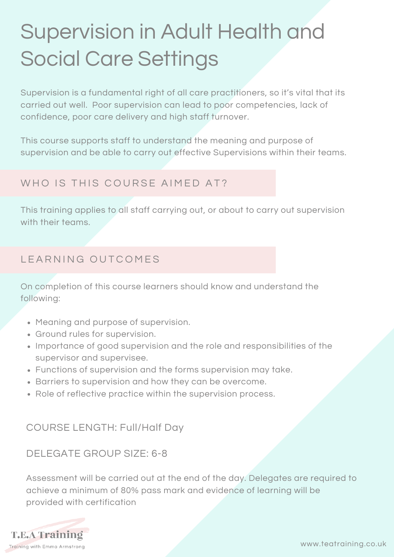# Supervision in Adult Health and Social Care Settings

Supervision is a fundamental right of all care practitioners, so it's vital that its carried out well. Poor supervision can lead to poor competencies, lack of confidence, poor care delivery and high staff turnover.

This course supports staff to understand the meaning and purpose of supervision and be able to carry out effective Supervisions within their teams.

# WHO IS THIS COURSE AIMED AT?

This training applies to all staff carrying out, or about to carry out supervision with their teams.

# LEARNING OUTCOMES

On completion of this course learners should know and understand the following:

- Meaning and purpose of supervision.
- Ground rules for supervision.
- Importance of good supervision and the role and responsibilities of the supervisor and supervisee.
- Functions of supervision and the forms supervision may take.
- Barriers to supervision and how they can be overcome.
- Role of reflective practice within the supervision process.

### COURSE LENGTH: Full/Half Day

### DELEGATE GROUP SIZE: 6-8

Assessment will be carried out at the end of the day. Delegates are required to achieve a minimum of 80% pass mark and evidence of learning will be provided with certification

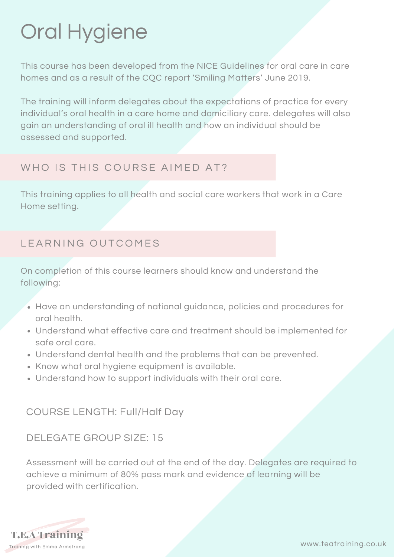# Oral Hygiene

This course has been developed from the NICE Guidelines for oral care in care homes and as a result of the CQC report 'Smiling Matters' June 2019.

The training will inform delegates about the expectations of practice for every individual's oral health in a care home and domiciliary care. delegates will also gain an understanding of oral ill health and how an individual should be assessed and supported.

# WHO IS THIS COURSE AIMED AT?

This training applies to all health and social care workers that work in a Care Home setting.

# LEARNING OUTCOMES

On completion of this course learners should know and understand the following:

- Have an understanding of national guidance, policies and procedures for oral health.
- Understand what effective care and treatment should be implemented for safe oral care.
- Understand dental health and the problems that can be prevented.
- Know what oral hygiene equipment is available.
- Understand how to support individuals with their oral care.

### COURSE LENGTH: Full/Half Day

### DELEGATE GROUP SIZE: 15

Assessment will be carried out at the end of the day. Delegates are required to achieve a minimum of 80% pass mark and evidence of learning will be provided with certification.

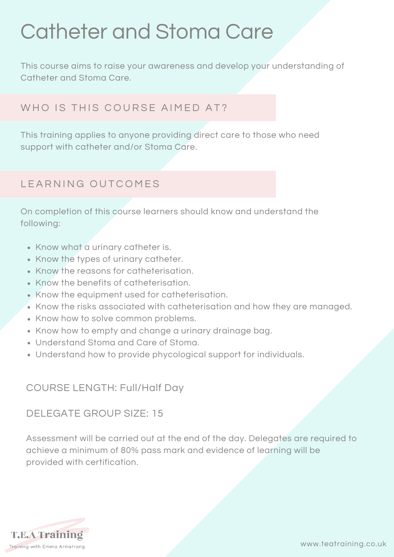# Catheter and Stoma Care

This course aims to raise your awareness and develop your understanding of Catheter and Stoma Care.

# WHO IS THIS COURSE AIMED AT?

This training applies to anyone providing direct care to those who need support with catheter and/or Stoma Care.

#### L FARNING OUTCOMES

On completion of this course learners should know and understand the following:

- Know what a urinary catheter is.
- Know the types of urinary catheter.
- Know the reasons for catheterisation.
- Know the benefits of catheterisation.
- Know the equipment used for catheterisation.
- Know the risks associated with catheterisation and how they are managed.
- Know how to solve common problems.
- Know how to empty and change a urinary drainage bag.
- Understand Stoma and Care of Stoma.
- Understand how to provide phycological support for individuals.

#### COURSE LENGTH: Full/Half Day

#### DELEGATE GROUP SIZE: 15

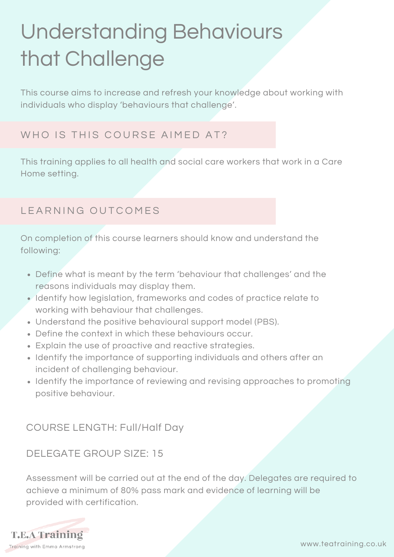# Understanding Behaviours that Challenge

This course aims to increase and refresh your knowledge about working with individuals who display 'behaviours that challenge'.

# WHO IS THIS COURSE AIMED AT?

This training applies to all health and social care workers that work in a Care Home setting.

#### LEARNING OUTCOMES

On completion of this course learners should know and understand the following:

- Define what is meant by the term 'behaviour that challenges' and the reasons individuals may display them.
- Identify how legislation, frameworks and codes of practice relate to working with behaviour that challenges.
- Understand the positive behavioural support model (PBS).
- Define the context in which these behaviours occur.
- Explain the use of proactive and reactive strategies.
- Identify the importance of supporting individuals and others after an incident of challenging behaviour.
- Identify the importance of reviewing and revising approaches to promoting positive behaviour.

COURSE LENGTH: Full/Half Day

#### DELEGATE GROUP SIZE: 15

Assessment will be carried out at the end of the day. Delegates are required to achieve a minimum of 80% pass mark and evidence of learning will be provided with certification.

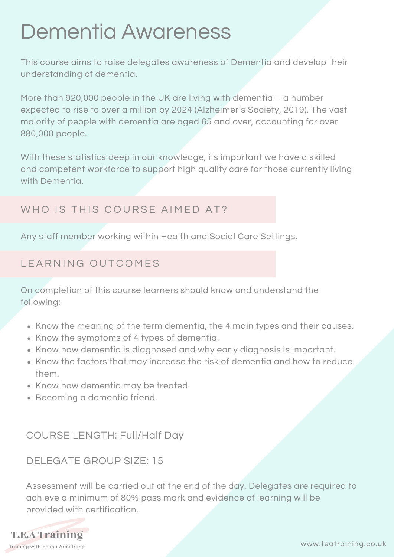# Dementia Awareness

This course aims to raise delegates awareness of Dementia and develop their understanding of dementia.

More than 920,000 people in the UK are living with dementia – a number expected to rise to over a million by 2024 (Alzheimer's Society, 2019). The vast majority of people with dementia are aged 65 and over, accounting for over 880,000 people.

With these statistics deep in our knowledge, its important we have a skilled and competent workforce to support high quality care for those currently living with Dementia.

### WHO IS THIS COURSE AIMED AT?

Any staff member working within Health and Social Care Settings.

# LEARNING OUTCOMES

On completion of this course learners should know and understand the following:

- Know the meaning of the term dementia, the 4 main types and their causes.
- Know the symptoms of 4 types of dementia.
- Know how dementia is diagnosed and why early diagnosis is important.
- Know the factors that may increase the risk of dementia and how to reduce them.
- Know how dementia may be treated.
- Becoming a dementia friend.

COURSE LENGTH: Full/Half Day

### DELEGATE GROUP SIZE: 15

Assessment will be carried out at the end of the day. Delegates are required to achieve a minimum of 80% pass mark and evidence of learning will be provided with certification.

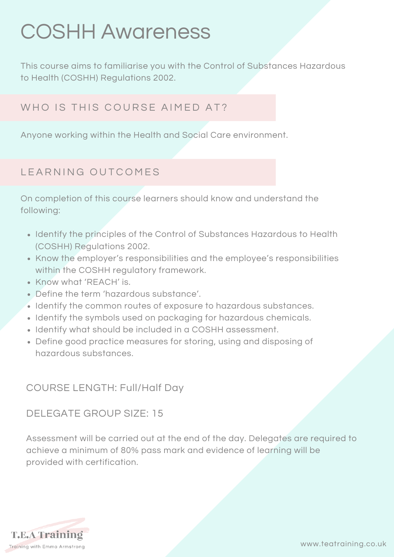# COSHH Awareness

This course aims to familiarise you with the Control of Substances Hazardous to Health (COSHH) Regulations 2002.

### WHO IS THIS COURSE AIMED AT?

Anyone working within the Health and Social Care environment.

#### LEARNING OUTCOMES

On completion of this course learners should know and understand the following:

- Identify the principles of the Control of Substances Hazardous to Health (COSHH) Regulations 2002.
- Know the employer's responsibilities and the employee's responsibilities within the COSHH regulatory framework.
- Know what 'REACH' is.
- Define the term 'hazardous substance'.
- $\bullet$  Identify the common routes of exposure to hazardous substances.
- Identify the symbols used on packaging for hazardous chemicals.
- Identify what should be included in a COSHH assessment.
- Define good practice measures for storing, using and disposing of hazardous substances.

### COURSE LENGTH: Full/Half Day

#### DELEGATE GROUP SIZE: 15

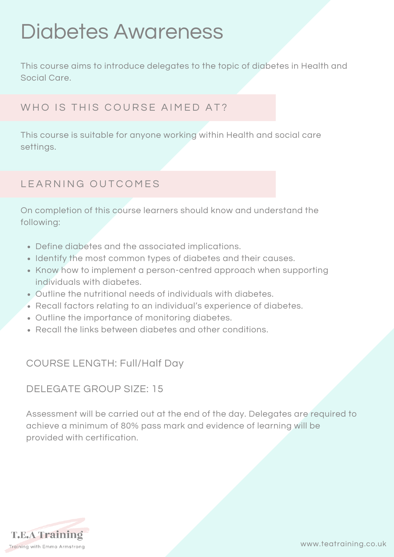# Diabetes Awareness

This course aims to introduce delegates to the topic of diabetes in Health and Social Care.

# WHO IS THIS COURSE AIMED AT?

This course is suitable for anyone working within Health and social care settings.

# LEARNING OUTCOMES

On completion of this course learners should know and understand the following:

- Define diabetes and the associated implications.
- Identify the most common types of diabetes and their causes.
- Know how to implement a person-centred approach when supporting individuals with diabetes.
- Outline the nutritional needs of individuals with diabetes.
- Recall factors relating to an individual's experience of diabetes.
- Outline the importance of monitoring diabetes.
- Recall the links between diabetes and other conditions.

#### COURSE LENGTH: Full/Half Day

#### DELEGATE GROUP SIZE: 15

Assessment will be carried out at the end of the day. Delegates are required to achieve a minimum of 80% pass mark and evidence of learning will be provided with certification.

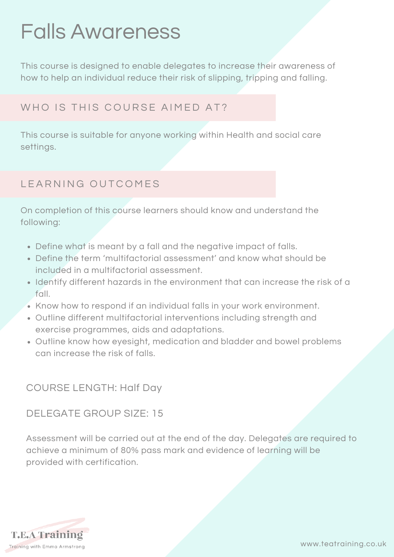# Falls Awareness

This course is designed to enable delegates to increase their awareness of how to help an individual reduce their risk of slipping, tripping and falling.

# WHO IS THIS COURSE AIMED AT?

This course is suitable for anyone working within Health and social care settings.

# LEARNING OUTCOMES

On completion of this course learners should know and understand the following:

- Define what is meant by a fall and the negative impact of falls.
- Define the term 'multifactorial assessment' and know what should be included in a multifactorial assessment.
- Identify different hazards in the environment that can increase the risk of a fall.
- Know how to respond if an individual falls in your work environment.
- Outline different multifactorial interventions including strength and exercise programmes, aids and adaptations.
- Outline know how eyesight, medication and bladder and bowel problems can increase the risk of falls.

#### COURSE LENGTH: Half Day

#### DELEGATE GROUP SIZE: 15

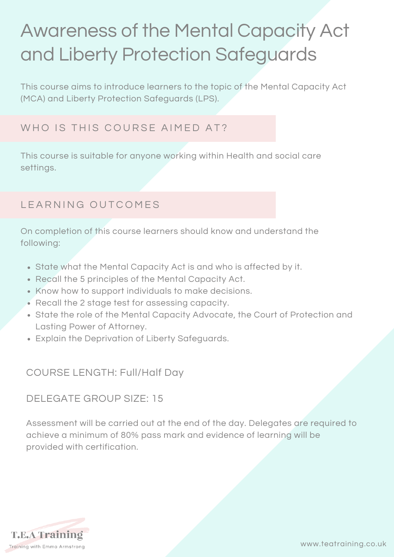# Awareness of the Mental Capacity Act and Liberty Protection Safeguards

This course aims to introduce learners to the topic of the Mental Capacity Act (MCA) and Liberty Protection Safeguards (LPS).

# WHO IS THIS COURSE AIMED AT?

This course is suitable for anyone working within Health and social care settings.

### LEARNING OUTCOMES

On completion of this course learners should know and understand the following:

- State what the Mental Capacity Act is and who is affected by it.
- Recall the 5 principles of the Mental Capacity Act.
- Know how to support individuals to make decisions.
- Recall the 2 stage test for assessing capacity.
- State the role of the Mental Capacity Advocate, the Court of Protection and Lasting Power of Attorney.
- Explain the Deprivation of Liberty Safeguards.

#### COURSE LENGTH: Full/Half Day

#### DELEGATE GROUP SIZE: 15

Assessment will be carried out at the end of the day. Delegates are required to achieve a minimum of 80% pass mark and evidence of learning will be provided with certification.

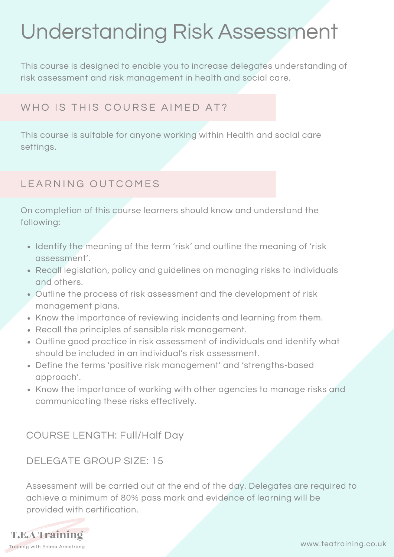# Understanding Risk Assessment

This course is designed to enable you to increase delegates understanding of risk assessment and risk management in health and social care.

# WHO IS THIS COURSE AIMED AT?

This course is suitable for anyone working within Health and social care settings.

# LEARNING OUTCOMES

On completion of this course learners should know and understand the following:

- Identify the meaning of the term 'risk' and outline the meaning of 'risk assessment'.
- Recall legislation, policy and guidelines on managing risks to individuals and others.
- Outline the process of risk assessment and the development of risk management plans.
- Know the importance of reviewing incidents and learning from them.
- Recall the principles of sensible risk management.
- Outline good practice in risk assessment of individuals and identify what should be included in an individual's risk assessment.
- Define the terms 'positive risk management' and 'strengths-based approach'.
- Know the importance of working with other agencies to manage risks and communicating these risks effectively.

### COURSE LENGTH: Full/Half Day

#### DELEGATE GROUP SIZE: 15

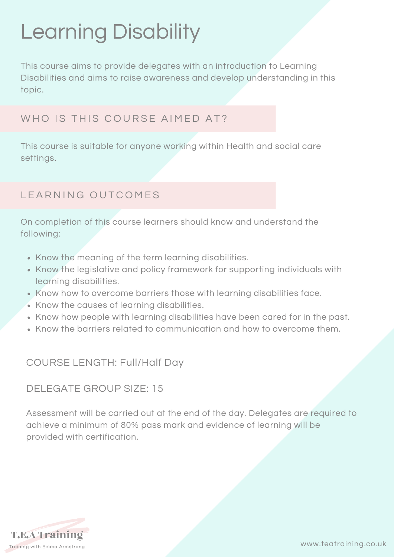# Learning Disability

This course aims to provide delegates with an introduction to Learning Disabilities and aims to raise awareness and develop understanding in this topic.

### WHO IS THIS COURSE AIMED AT?

This course is suitable for anyone working within Health and social care settings.

# L EARNING OUTCOMES

On completion of this course learners should know and understand the following:

- Know the meaning of the term learning disabilities.
- Know the legislative and policy framework for supporting individuals with learning disabilities.
- Know how to overcome barriers those with learning disabilities face.
- Know the causes of learning disabilities.
- Know how people with learning disabilities have been cared for in the past.
- Know the barriers related to communication and how to overcome them.

### COURSE LENGTH: Full/Half Day

#### DELEGATE GROUP SIZE: 15

Assessment will be carried out at the end of the day. Delegates are required to achieve a minimum of 80% pass mark and evidence of learning will be provided with certification.

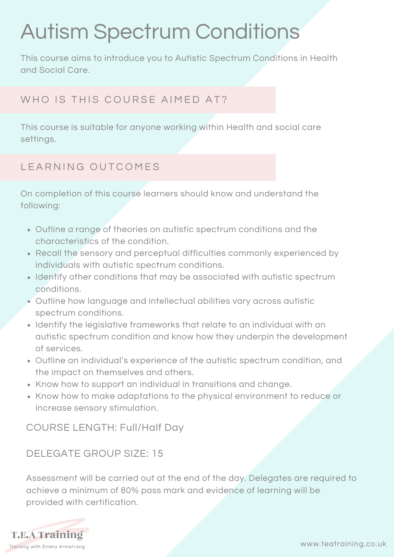# Autism Spectrum Conditions

This course aims to introduce you to Autistic Spectrum Conditions in Health and Social Care.

# WHO IS THIS COURSE AIMED AT?

This course is suitable for anyone working within Health and social care settings.

# L FARNING OUTCOMES

On completion of this course learners should know and understand the following:

- Outline a range of theories on autistic spectrum conditions and the characteristics of the condition.
- Recall the sensory and perceptual difficulties commonly experienced by individuals with autistic spectrum conditions.
- Identify other conditions that may be associated with autistic spectrum conditions.
- Outline how language and intellectual abilities vary across autistic spectrum conditions.
- Identify the legislative frameworks that relate to an individual with an autistic spectrum condition and know how they underpin the development of services.
- Outline an individual's experience of the autistic spectrum condition, and the impact on themselves and others.
- Know how to support an individual in transitions and change.
- Know how to make adaptations to the physical environment to reduce or increase sensory stimulation.

COURSE LENGTH: Full/Half Day

### DELEGATE GROUP SIZE: 15

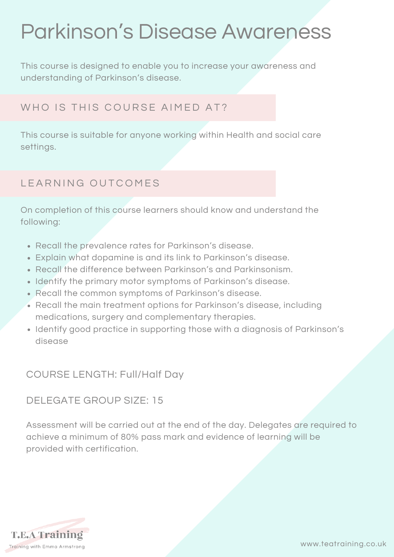# Parkinson's Disease Awareness

This course is designed to enable you to increase your awareness and understanding of Parkinson's disease.

# WHO IS THIS COURSE AIMED AT?

This course is suitable for anyone working within Health and social care settings.

### LEARNING OUTCOMES

On completion of this course learners should know and understand the following:

- Recall the prevalence rates for Parkinson's disease.
- Explain what dopamine is and its link to Parkinson's disease.
- Recall the difference between Parkinson's and Parkinsonism.
- Identify the primary motor symptoms of Parkinson's disease.
- Recall the common symptoms of Parkinson's disease.
- Recall the main treatment options for Parkinson's disease, including medications, surgery and complementary therapies.
- Identify good practice in supporting those with a diagnosis of Parkinson's disease

### COURSE LENGTH: Full/Half Day

#### DELEGATE GROUP SIZE: 15

Assessment will be carried out at the end of the day. Delegates are required to achieve a minimum of 80% pass mark and evidence of learning will be provided with certification.

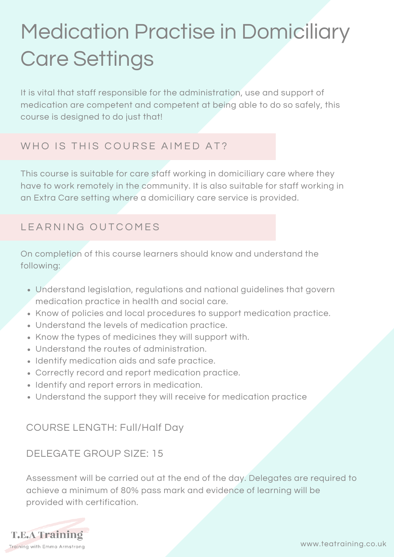# Medication Practise in Domiciliary Care Settings

It is vital that staff responsible for the administration, use and support of medication are competent and competent at being able to do so safely, this course is designed to do just that!

# WHO IS THIS COURSE AIMED AT?

This course is suitable for care staff working in domiciliary care where they have to work remotely in the community. It is also suitable for staff working in an Extra Care setting where a domiciliary care service is provided.

# LEARNING OUTCOMES

On completion of this course learners should know and understand the following:

- Understand legislation, regulations and national guidelines that govern medication practice in health and social care.
- Know of policies and local procedures to support medication practice.
- Understand the levels of medication practice.
- Know the types of medicines they will support with.
- Understand the routes of administration.
- Identify medication aids and safe practice.
- Correctly record and report medication practice.
- Identify and report errors in medication.
- Understand the support they will receive for medication practice

### COURSE LENGTH: Full/Half Day

### DELEGATE GROUP SIZE: 15

Assessment will be carried out at the end of the day. Delegates are required to achieve a minimum of 80% pass mark and evidence of learning will be provided with certification.

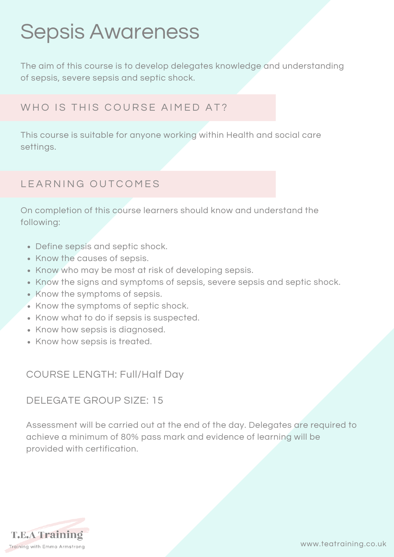# Sepsis Awareness

The aim of this course is to develop delegates knowledge and understanding of sepsis, severe sepsis and septic shock.

### WHO IS THIS COURSE AIMED AT?

This course is suitable for anyone working within Health and social care settings.

### LEARNING OUTCOMES

On completion of this course learners should know and understand the following:

- Define sepsis and septic shock.
- Know the causes of sepsis.
- Know who may be most at risk of developing sepsis.
- Know the signs and symptoms of sepsis, severe sepsis and septic shock.
- Know the symptoms of sepsis.
- Know the symptoms of septic shock.
- Know what to do if sepsis is suspected.
- Know how sepsis is diagnosed.
- Know how sepsis is treated.

#### COURSE LENGTH: Full/Half Day

#### DELEGATE GROUP SIZE: 15

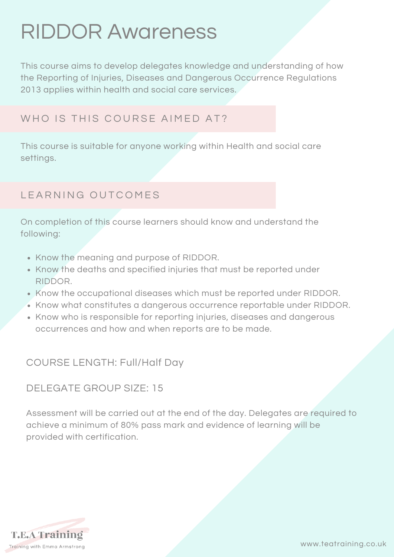# RIDDOR Awareness

This course aims to develop delegates knowledge and understanding of how the Reporting of Injuries, Diseases and Dangerous Occurrence Regulations 2013 applies within health and social care services.

#### WHO IS THIS COURSE AIMED AT?

This course is suitable for anyone working within Health and social care settings.

# L EARNING OUTCOMES

On completion of this course learners should know and understand the following:

- Know the meaning and purpose of RIDDOR.
- Know the deaths and specified injuries that must be reported under RIDDOR.
- Know the occupational diseases which must be reported under RIDDOR.
- Know what constitutes a dangerous occurrence reportable under RIDDOR.
- Know who is responsible for reporting injuries, diseases and dangerous occurrences and how and when reports are to be made.

### COURSE LENGTH: Full/Half Day

#### DELEGATE GROUP SIZE: 15

Assessment will be carried out at the end of the day. Delegates are required to achieve a minimum of 80% pass mark and evidence of learning will be provided with certification.

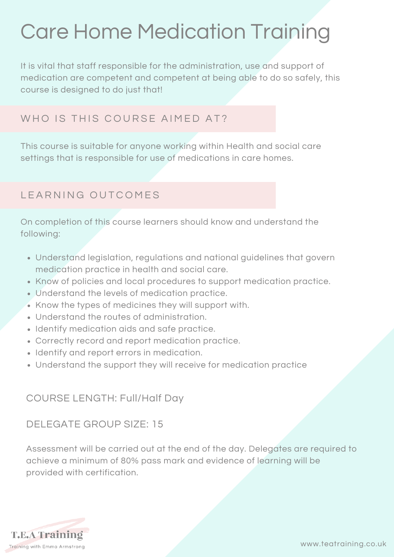# Care Home Medication Training

It is vital that staff responsible for the administration, use and support of medication are competent and competent at being able to do so safely, this course is designed to do just that!

#### WHO IS THIS COURSE AIMED AT?

This course is suitable for anyone working within Health and social care settings that is responsible for use of medications in care homes.

# L EARNING OUTCOMES

On completion of this course learners should know and understand the following:

- Understand legislation, regulations and national guidelines that govern medication practice in health and social care.
- Know of policies and local procedures to support medication practice.
- Understand the levels of medication practice.
- Know the types of medicines they will support with.
- Understand the routes of administration.
- Identify medication aids and safe practice.
- Correctly record and report medication practice.
- Identify and report errors in medication.
- Understand the support they will receive for medication practice

### COURSE LENGTH: Full/Half Day

#### DELEGATE GROUP SIZE: 15

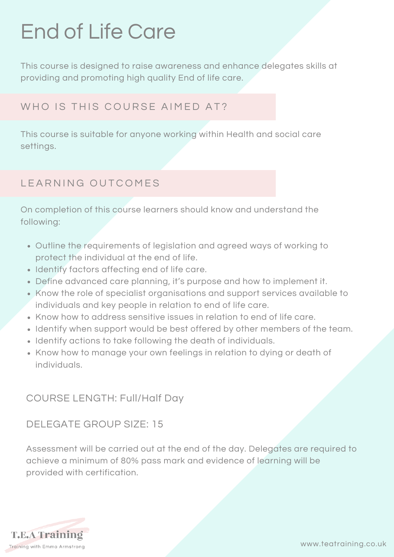# End of Life Care

This course is designed to raise awareness and enhance delegates skills at providing and promoting high quality End of life care.

# WHO IS THIS COURSE AIMED AT?

This course is suitable for anyone working within Health and social care settings.

# LEARNING OUTCOMES

On completion of this course learners should know and understand the following:

- Outline the requirements of legislation and agreed ways of working to protect the individual at the end of life.
- Identify factors affecting end of life care.
- Define advanced care planning, it's purpose and how to implement it.
- Know the role of specialist organisations and support services available to individuals and key people in relation to end of life care.
- Know how to address sensitive issues in relation to end of life care.
- Identify when support would be best offered by other members of the team.
- Identify actions to take following the death of individuals.
- Know how to manage your own feelings in relation to dying or death of individuals.

### COURSE LENGTH: Full/Half Day

#### DELEGATE GROUP SIZE: 15

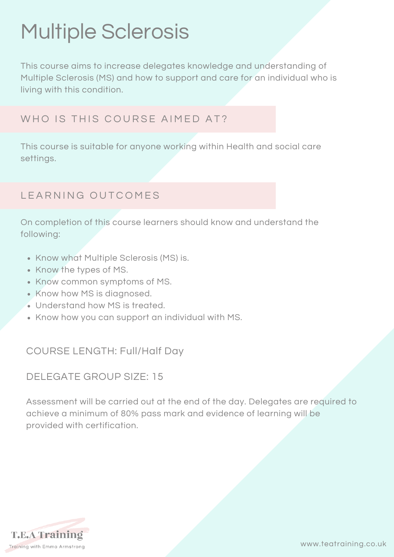# Multiple Sclerosis

This course aims to increase delegates knowledge and understanding of Multiple Sclerosis (MS) and how to support and care for an individual who is living with this condition.

# WHO IS THIS COURSE AIMED AT?

This course is suitable for anyone working within Health and social care settings.

# LEARNING OUTCOMES

On completion of this course learners should know and understand the following:

- Know what Multiple Sclerosis (MS) is.
- Know the types of MS.
- Know common symptoms of MS.
- Know how MS is diagnosed.
- Understand how MS is treated.
- Know how you can support an individual with MS.

#### COURSE LENGTH: Full/Half Day

#### DELEGATE GROUP SIZE: 15

Assessment will be carried out at the end of the day. Delegates are required to achieve a minimum of 80% pass mark and evidence of learning will be provided with certification.

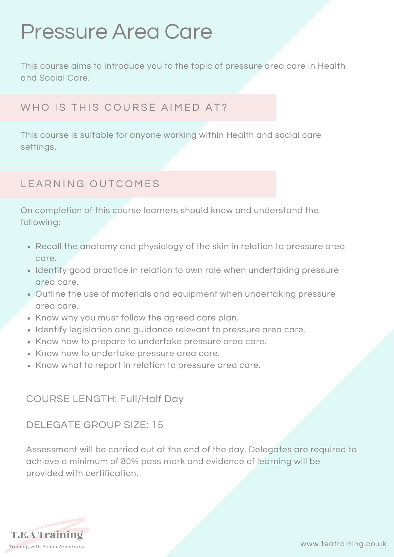# Pressure Area Care

This course aims to introduce you to the topic of pressure area care in Health and Social Care.

# WHO IS THIS COURSE AIMED AT?

This course is suitable for anyone working within Health and social care settings.

# LEARNING OUTCOMES

On completion of this course learners should know and understand the following:

- Recall the anatomy and physiology of the skin in relation to pressure area care.
- Identify good practice in relation to own role when undertaking pressure area care.
- Outline the use of materials and equipment when undertaking pressure area care.
- Know why you must follow the agreed care plan.
- Identify legislation and guidance relevant to pressure area care.
- Know how to prepare to undertake pressure area care.
- Know how to undertake pressure area care.
- Know what to report in relation to pressure area care.

### COURSE LENGTH: Full/Half Day

#### DELEGATE GROUP SIZE: 15

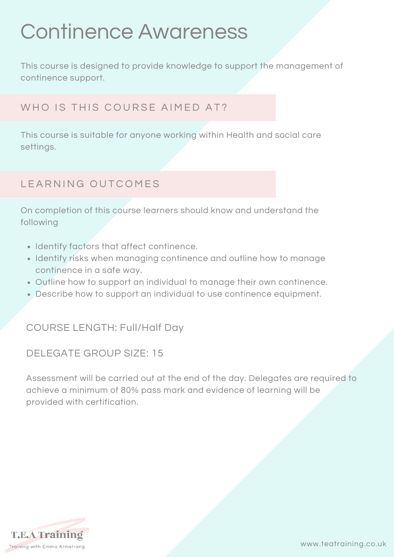# Continence Awareness

This course is designed to provide knowledge to support the management of continence support.

# WHO IS THIS COURSE AIMED AT?

This course is suitable for anyone working within Health and social care settings.

# LEARNING OUTCOMES

On completion of this course learners should know and understand the following

- Identify factors that affect continence.
- Identify risks when managing continence and outline how to manage continence in a safe way.
- Outline how to support an individual to manage their own continence.
- Describe how to support an individual to use continence equipment.

COURSE LENGTH: Full/Half Day

#### DELEGATE GROUP SIZE: 15

Assessment will be carried out at the end of the day. Delegates are required to achieve a minimum of 80% pass mark and evidence of learning will be provided with certification.

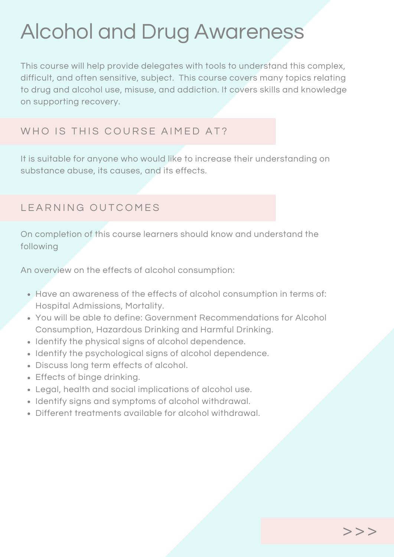# Alcohol and Drug Awareness

This course will help provide delegates with tools to understand this complex, difficult, and often sensitive, subject. This course covers many topics relating to drug and alcohol use, misuse, and addiction. It covers skills and knowledge on supporting recovery.

### WHO IS THIS COURSE AIMED AT?

It is suitable for anyone who would like to increase their understanding on substance abuse, its causes, and its effects.

#### LEARNING OUTCOMES

On completion of this course learners should know and understand the following

An overview on the effects of alcohol consumption:

- Have an awareness of the effects of alcohol consumption in terms of: Hospital Admissions, Mortality.
- You will be able to define: Government Recommendations for Alcohol Consumption, Hazardous Drinking and Harmful Drinking.
- Identify the physical signs of alcohol dependence.
- Identify the psychological signs of alcohol dependence.
- Discuss long term effects of alcohol.
- Effects of binge drinking.
- Legal, health and social implications of alcohol use.
- Identify signs and symptoms of alcohol withdrawal.
- Different treatments available for alcohol withdrawal.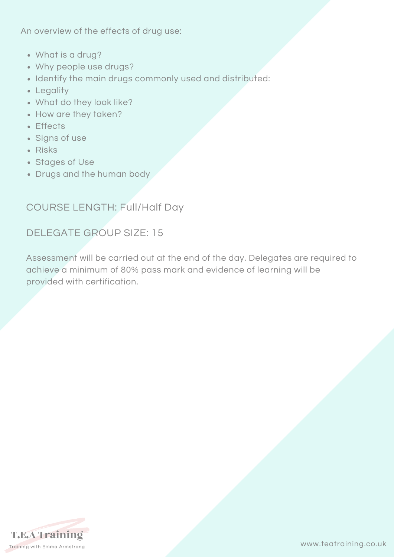An overview of the effects of drug use:

- What is a drug?
- Why people use drugs?
- Identify the main drugs commonly used and distributed:
- Legality
- What do they look like?
- How are they taken?
- Effects
- Signs of use
- Risks
- Stages of Use
- Drugs and the human body

#### COURSE LENGTH: Full/Half Day

#### DELEGATE GROUP SIZE: 15

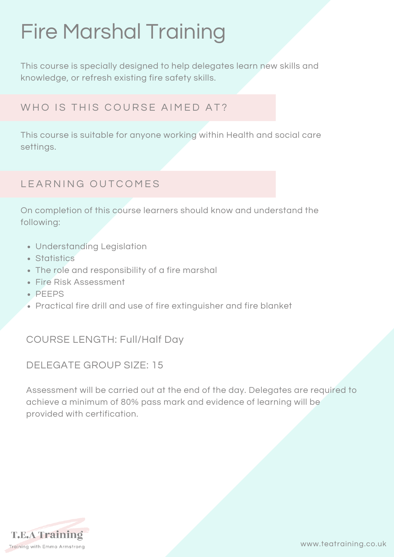# Fire Marshal Training

This course is specially designed to help delegates learn new skills and knowledge, or refresh existing fire safety skills.

# WHO IS THIS COURSE AIMED AT?

This course is suitable for anyone working within Health and social care settings.

# LEARNING OUTCOMES

On completion of this course learners should know and understand the following:

- Understanding Legislation
- Statistics
- The role and responsibility of a fire marshal
- Fire Risk Assessment
- $\cdot$  PFFPS
- Practical fire drill and use of fire extinguisher and fire blanket

### COURSE LENGTH: Full/Half Day

#### DELEGATE GROUP SIZE: 15

Assessment will be carried out at the end of the day. Delegates are required to achieve a minimum of 80% pass mark and evidence of learning will be provided with certification.

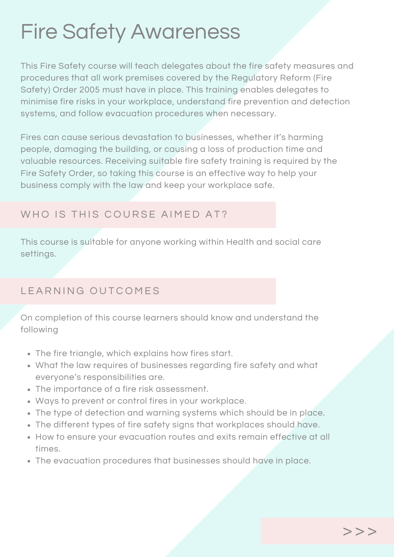# Fire Safety Awareness

This Fire Safety course will teach delegates about the fire safety measures and procedures that all work premises covered by the Regulatory Reform (Fire Safety) Order 2005 must have in place. This training enables delegates to minimise fire risks in your workplace, understand fire prevention and detection systems, and follow evacuation procedures when necessary.

Fires can cause serious devastation to businesses, whether it's harming people, damaging the building, or causing a loss of production time and valuable resources. Receiving suitable fire safety training is required by the Fire Safety Order, so taking this course is an effective way to help your business comply with the law and keep your workplace safe.

### WHO IS THIS COURSE AIMED AT?

This course is suitable for anyone working within Health and social care settings.

# LEARNING OUTCOMES

On completion of this course learners should know and understand the following

- The fire triangle, which explains how fires start.
- What the law requires of businesses regarding fire safety and what everyone's responsibilities are.
- The importance of a fire risk assessment.
- Ways to prevent or control fires in your workplace.
- The type of detection and warning systems which should be in place.
- The different types of fire safety signs that workplaces should have.
- How to ensure your evacuation routes and exits remain effective at all times.
- The evacuation procedures that businesses should have in place.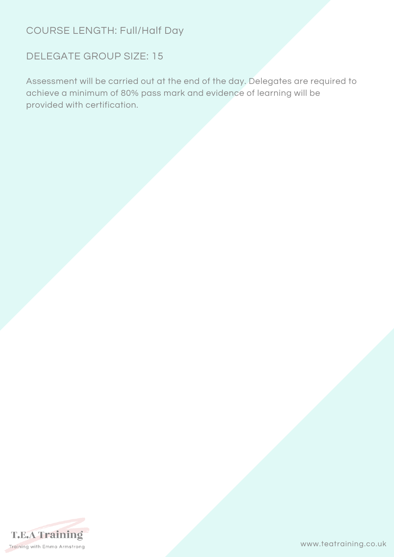# COURSE LENGTH: Full/Half Day

### DELEGATE GROUP SIZE: 15

Assessment will be carried out at the end of the day. Delegates are required to achieve a minimum of 80% pass mark and evidence of learning will be provided with certification.